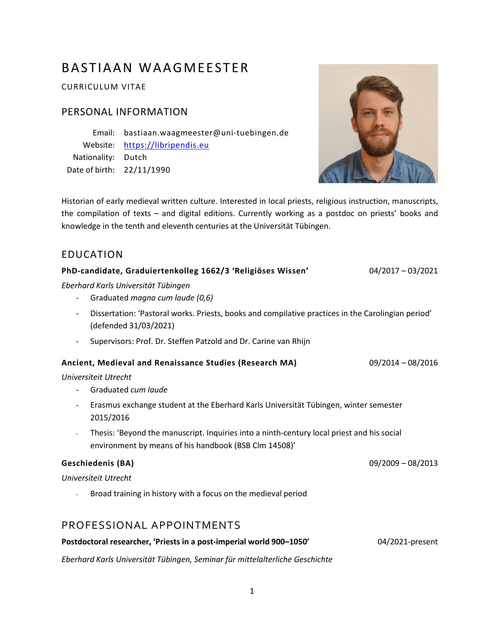# BASTIAAN WAAGMEESTER

CURRICULUM VITAE

### PERSONAL INFORMATION

Email: bastiaan.waagmeester@uni-tuebingen.de Website: <u>[https://libripendis.eu](https://libripendis.eu/)</u> Nationality: Dutch Date of birth: 22/11/1990



Historian of early medieval written culture. Interested in local priests, religious instruction, manuscripts, the compilation of texts – and digital editions. Currently working as a postdoc on priests' books and knowledge in the tenth and eleventh centuries at the Universität Tübingen.

### EDUCATION

| PhD-candidate, Graduiertenkolleg 1662/3 'Religiöses Wissen'                                                                 | $04/2017 - 03/2021$ |
|-----------------------------------------------------------------------------------------------------------------------------|---------------------|
| Eberhard Karls Universität Tübingen                                                                                         |                     |
| Graduated magna cum laude (0,6)                                                                                             |                     |
| Dissertation: 'Pastoral works. Priests, books and compilative practices in the Carolingian period'<br>(defended 31/03/2021) |                     |
| Supervisors: Prof. Dr. Steffen Patzold and Dr. Carine van Rhijn<br>$\overline{\phantom{a}}$                                 |                     |
| Ancient, Medieval and Renaissance Studies (Research MA)                                                                     | $09/2014 - 08/2016$ |
| Universiteit Utrecht                                                                                                        |                     |
| Graduated cum laude<br>$\blacksquare$                                                                                       |                     |
| Erasmus exchange student at the Eberhard Karls Universität Tübingen, winter semester<br>$\blacksquare$<br>2015/2016         |                     |
| Thesis: 'Beyond the manuscript. Inquiries into a ninth-century local priest and his social<br>$\overline{\phantom{a}}$      |                     |
| environment by means of his handbook (BSB Clm 14508)'                                                                       |                     |
| <b>Geschiedenis (BA)</b>                                                                                                    | $09/2009 - 08/2013$ |
| Universiteit Utrecht                                                                                                        |                     |
| Broad training in history with a focus on the medieval period                                                               |                     |
| PROFESSIONAL APPOINTMENTS                                                                                                   |                     |

# **Postdoctoral researcher, 'Priests in a post-imperial world 900–1050'** 04/2021-present

*Eberhard Karls Universität Tübingen, Seminar für mittelalterliche Geschichte*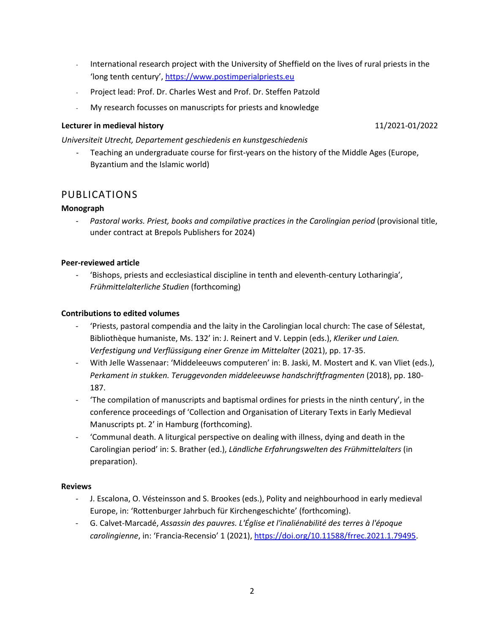- International research project with the University of Sheffield on the lives of rural priests in the 'long tenth century'[, https://www.postimperialpriests.eu](https://www.postimperialpriests.eu/)
- Project lead: Prof. Dr. Charles West and Prof. Dr. Steffen Patzold
- My research focusses on manuscripts for priests and knowledge

#### **Lecturer in medieval history** 11/2021-01/2022

*Universiteit Utrecht, Departement geschiedenis en kunstgeschiedenis*

Teaching an undergraduate course for first-years on the history of the Middle Ages (Europe, Byzantium and the Islamic world)

### PUBLICATIONS

#### **Monograph**

- *Pastoral works. Priest, books and compilative practices in the Carolingian period* (provisional title, under contract at Brepols Publishers for 2024)

#### **Peer-reviewed article**

- 'Bishops, priests and ecclesiastical discipline in tenth and eleventh-century Lotharingia', *Frühmittelalterliche Studien* (forthcoming)

#### **Contributions to edited volumes**

- 'Priests, pastoral compendia and the laity in the Carolingian local church: The case of Sélestat, Bibliothèque humaniste, Ms. 132' in: J. Reinert and V. Leppin (eds.), *Kleriker und Laien. Verfestigung und Verflüssigung einer Grenze im Mittelalter* (2021), pp. 17-35.
- With Jelle Wassenaar: 'Middeleeuws computeren' in: B. Jaski, M. Mostert and K. van Vliet (eds.), *Perkament in stukken. Teruggevonden middeleeuwse handschriftfragmenten* (2018), pp. 180- 187.
- 'The compilation of manuscripts and baptismal ordines for priests in the ninth century', in the conference proceedings of 'Collection and Organisation of Literary Texts in Early Medieval Manuscripts pt. 2' in Hamburg (forthcoming).
- 'Communal death. A liturgical perspective on dealing with illness, dying and death in the Carolingian period' in: S. Brather (ed.), *Ländliche Erfahrungswelten des Frühmittelalters* (in preparation).

#### **Reviews**

- J. Escalona, O. Vésteinsson and S. Brookes (eds.), Polity and neighbourhood in early medieval Europe, in: 'Rottenburger Jahrbuch für Kirchengeschichte' (forthcoming).
- G. Calvet-Marcadé, *Assassin des pauvres. L'Église et l'inaliénabilité des terres à l'époque carolingienne*, in: 'Francia-Recensio' 1 (2021), [https://doi.org/10.11588/frrec.2021.1.79495.](https://doi.org/10.11588/frrec.2021.1.79495)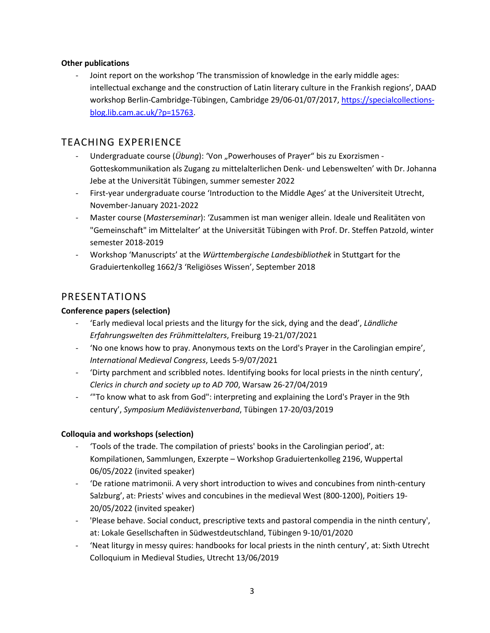#### **Other publications**

Joint report on the workshop 'The transmission of knowledge in the early middle ages: intellectual exchange and the construction of Latin literary culture in the Frankish regions', DAAD workshop Berlin-Cambridge-Tübingen, Cambridge 29/06-01/07/2017, [https://specialcollections](https://specialcollections-blog.lib.cam.ac.uk/?p=15763)[blog.lib.cam.ac.uk/?p=15763.](https://specialcollections-blog.lib.cam.ac.uk/?p=15763)

### TEACHING EXPERIENCE

- Undergraduate course (*Übung*): 'Von "Powerhouses of Prayer" bis zu Exorzismen -Gotteskommunikation als Zugang zu mittelalterlichen Denk- und Lebenswelten' with Dr. Johanna Jebe at the Universität Tübingen, summer semester 2022
- First-year undergraduate course 'Introduction to the Middle Ages' at the Universiteit Utrecht, November-January 2021-2022
- Master course (*Masterseminar*): 'Zusammen ist man weniger allein. Ideale und Realitäten von "Gemeinschaft" im Mittelalter' at the Universität Tübingen with Prof. Dr. Steffen Patzold, winter semester 2018-2019
- Workshop 'Manuscripts' at the *Württembergische Landesbibliothek* in Stuttgart for the Graduiertenkolleg 1662/3 'Religiöses Wissen', September 2018

### PRESENTATIONS

### **Conference papers (selection)**

- 'Early medieval local priests and the liturgy for the sick, dying and the dead', *Ländliche Erfahrungswelten des Frühmittelalters*, Freiburg 19-21/07/2021
- 'No one knows how to pray. Anonymous texts on the Lord's Prayer in the Carolingian empire', *International Medieval Congress*, Leeds 5-9/07/2021
- 'Dirty parchment and scribbled notes. Identifying books for local priests in the ninth century', *Clerics in church and society up to AD 700*, Warsaw 26-27/04/2019
- '"To know what to ask from God": interpreting and explaining the Lord's Prayer in the 9th century', *Symposium Mediävistenverband*, Tübingen 17-20/03/2019

### **Colloquia and workshops (selection)**

- 'Tools of the trade. The compilation of priests' books in the Carolingian period', at: Kompilationen, Sammlungen, Exzerpte – Workshop Graduiertenkolleg 2196, Wuppertal 06/05/2022 (invited speaker)
- 'De ratione matrimonii. A very short introduction to wives and concubines from ninth-century Salzburg', at: Priests' wives and concubines in the medieval West (800-1200), Poitiers 19- 20/05/2022 (invited speaker)
- 'Please behave. Social conduct, prescriptive texts and pastoral compendia in the ninth century', at: Lokale Gesellschaften in Südwestdeutschland, Tübingen 9-10/01/2020
- 'Neat liturgy in messy quires: handbooks for local priests in the ninth century', at: Sixth Utrecht Colloquium in Medieval Studies, Utrecht 13/06/2019